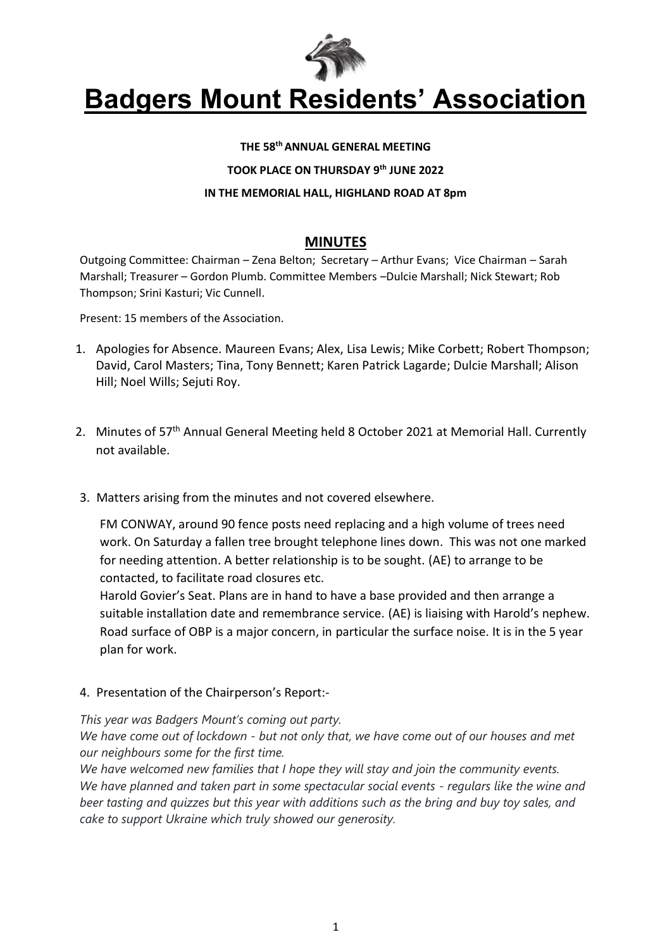

#### **THE 58thANNUAL GENERAL MEETING**

**TOOK PLACE ON THURSDAY 9 th JUNE 2022**

#### **IN THE MEMORIAL HALL, HIGHLAND ROAD AT 8pm**

#### **MINUTES**

Outgoing Committee: Chairman – Zena Belton; Secretary – Arthur Evans; Vice Chairman – Sarah Marshall; Treasurer – Gordon Plumb. Committee Members –Dulcie Marshall; Nick Stewart; Rob Thompson; Srini Kasturi; Vic Cunnell.

Present: 15 members of the Association.

- 1. Apologies for Absence. Maureen Evans; Alex, Lisa Lewis; Mike Corbett; Robert Thompson; David, Carol Masters; Tina, Tony Bennett; Karen Patrick Lagarde; Dulcie Marshall; Alison Hill; Noel Wills; Sejuti Roy.
- 2. Minutes of 57<sup>th</sup> Annual General Meeting held 8 October 2021 at Memorial Hall. Currently not available.
- 3. Matters arising from the minutes and not covered elsewhere.

FM CONWAY, around 90 fence posts need replacing and a high volume of trees need work. On Saturday a fallen tree brought telephone lines down. This was not one marked for needing attention. A better relationship is to be sought. (AE) to arrange to be contacted, to facilitate road closures etc.

Harold Govier's Seat. Plans are in hand to have a base provided and then arrange a suitable installation date and remembrance service. (AE) is liaising with Harold's nephew. Road surface of OBP is a major concern, in particular the surface noise. It is in the 5 year plan for work.

4. Presentation of the Chairperson's Report:-

*This year was Badgers Mount's coming out party.*

*We have come out of lockdown - but not only that, we have come out of our houses and met our neighbours some for the first time.*

*We have welcomed new families that I hope they will stay and join the community events. We have planned and taken part in some spectacular social events - regulars like the wine and beer tasting and quizzes but this year with additions such as the bring and buy toy sales, and cake to support Ukraine which truly showed our generosity.*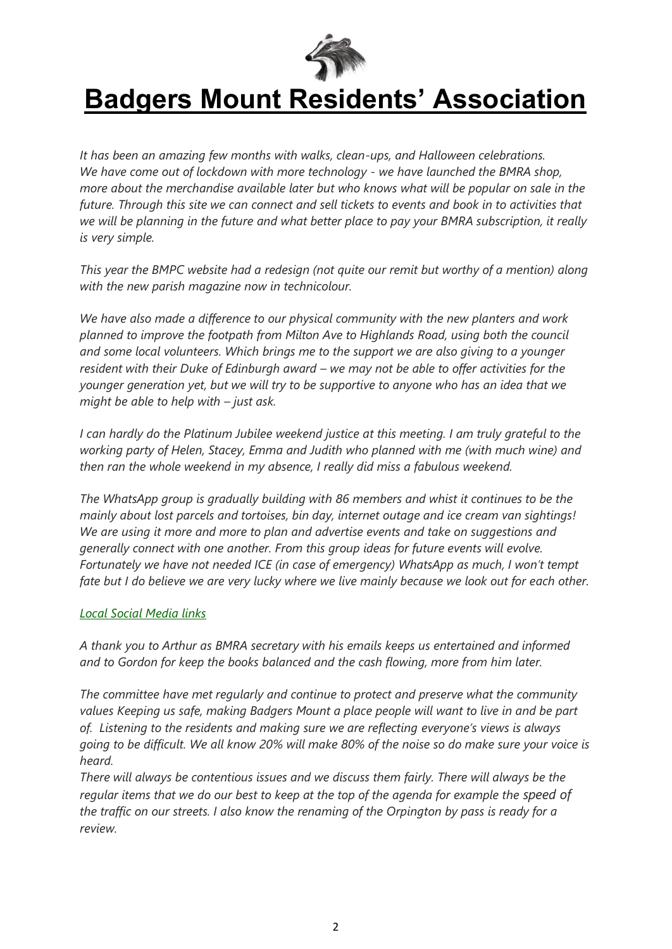

*It has been an amazing few months with walks, clean-ups, and Halloween celebrations. We have come out of lockdown with more technology - we have launched the BMRA shop, more about the merchandise available later but who knows what will be popular on sale in the future. Through this site we can connect and sell tickets to events and book in to activities that we will be planning in the future and what better place to pay your BMRA subscription, it really is very simple.*

*This year the BMPC website had a redesign (not quite our remit but worthy of a mention) along with the new parish magazine now in technicolour.*

*We have also made a difference to our physical community with the new planters and work planned to improve the footpath from Milton Ave to Highlands Road, using both the council and some local volunteers. Which brings me to the support we are also giving to a younger resident with their Duke of Edinburgh award – we may not be able to offer activities for the younger generation yet, but we will try to be supportive to anyone who has an idea that we might be able to help with – just ask.*

*I* can hardly do the Platinum Jubilee weekend justice at this meeting. I am truly grateful to the *working party of Helen, Stacey, Emma and Judith who planned with me (with much wine) and then ran the whole weekend in my absence, I really did miss a fabulous weekend.*

*The WhatsApp group is gradually building with 86 members and whist it continues to be the mainly about lost parcels and tortoises, bin day, internet outage and ice cream van sightings! We are using it more and more to plan and advertise events and take on suggestions and generally connect with one another. From this group ideas for future events will evolve. Fortunately we have not needed ICE (in case of emergency) WhatsApp as much, I won't tempt fate but I do believe we are very lucky where we live mainly because we look out for each other.*

#### *[Local Social Media links](http://www.badgersmount.net/badgersmount.htm#social)*

*A thank you to Arthur as BMRA secretary with his emails keeps us entertained and informed and to Gordon for keep the books balanced and the cash flowing, more from him later.*

*The committee have met regularly and continue to protect and preserve what the community values Keeping us safe, making Badgers Mount a place people will want to live in and be part of. Listening to the residents and making sure we are reflecting everyone's views is always going to be difficult. We all know 20% will make 80% of the noise so do make sure your voice is heard.*

*There will always be contentious issues and we discuss them fairly. There will always be the regular items that we do our best to keep at the top of the agenda for example the speed of the traffic on our streets. I also know the renaming of the Orpington by pass is ready for a review.*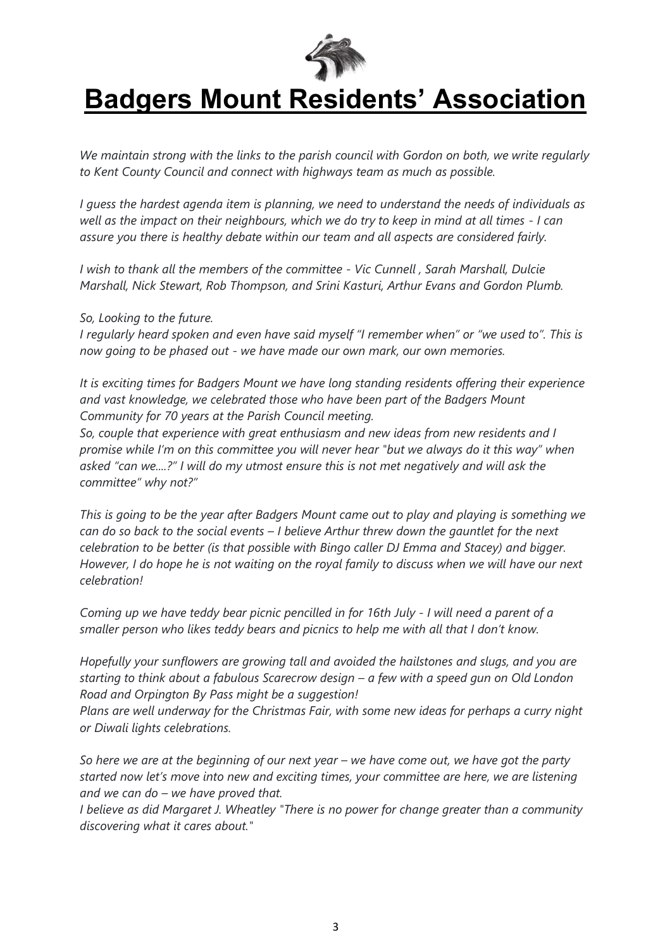

*We maintain strong with the links to the parish council with Gordon on both, we write regularly to Kent County Council and connect with highways team as much as possible.*

*I guess the hardest agenda item is planning, we need to understand the needs of individuals as well as the impact on their neighbours, which we do try to keep in mind at all times - I can assure you there is healthy debate within our team and all aspects are considered fairly.*

*I wish to thank all the members of the committee - Vic Cunnell , Sarah Marshall, Dulcie Marshall, Nick Stewart, Rob Thompson, and Srini Kasturi, Arthur Evans and Gordon Plumb.*

*So, Looking to the future.*

*I regularly heard spoken and even have said myself "I remember when" or "we used to". This is now going to be phased out - we have made our own mark, our own memories.*

*It is exciting times for Badgers Mount we have long standing residents offering their experience and vast knowledge, we celebrated those who have been part of the Badgers Mount Community for 70 years at the Parish Council meeting.*

*So, couple that experience with great enthusiasm and new ideas from new residents and I promise while I'm on this committee you will never hear "but we always do it this way" when asked "can we....?" I will do my utmost ensure this is not met negatively and will ask the committee" why not?"*

*This is going to be the year after Badgers Mount came out to play and playing is something we can do so back to the social events – I believe Arthur threw down the gauntlet for the next celebration to be better (is that possible with Bingo caller DJ Emma and Stacey) and bigger. However, I do hope he is not waiting on the royal family to discuss when we will have our next celebration!*

*Coming up we have teddy bear picnic pencilled in for 16th July - I will need a parent of a smaller person who likes teddy bears and picnics to help me with all that I don't know.*

*Hopefully your sunflowers are growing tall and avoided the hailstones and slugs, and you are starting to think about a fabulous Scarecrow design – a few with a speed gun on Old London Road and Orpington By Pass might be a suggestion!*

*Plans are well underway for the Christmas Fair, with some new ideas for perhaps a curry night or Diwali lights celebrations.*

*So here we are at the beginning of our next year – we have come out, we have got the party started now let's move into new and exciting times, your committee are here, we are listening and we can do – we have proved that.*

*I believe as did Margaret J. Wheatley "There is no power for change greater than a community discovering what it cares about."*